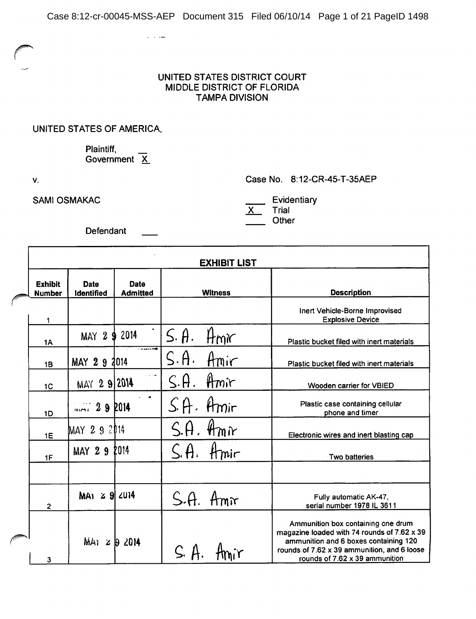#### UNITED STATES DISTRICT COURT MIDDLE DISTRICT OF FLORIDA **TAMPA DIVISION**

#### UNITED STATES OF AMERICA,

Plaintiff, Government  $\overline{X}$ 

 $\omega_{\rm{max}}$  , and

V.

**SAMI OSMAKAC** 

Case No. 8:12-CR-45-T-35AEP

Evidentiary

Trial  $\mathsf{X}$ Other

Defendant

|                                 |                           |                                | <b>EXHIBIT LIST</b>      |                                                                                                                                                                                                             |  |
|---------------------------------|---------------------------|--------------------------------|--------------------------|-------------------------------------------------------------------------------------------------------------------------------------------------------------------------------------------------------------|--|
| <b>Exhibit</b><br><b>Number</b> | Date<br><b>Identified</b> | <b>Date</b><br><b>Admitted</b> | <b>Witness</b>           | <b>Description</b>                                                                                                                                                                                          |  |
| 1                               |                           |                                |                          | Inert Vehicle-Borne Improvised<br><b>Explosive Device</b>                                                                                                                                                   |  |
| <b>1A</b>                       | MAY 2<br>9                | 2014                           | $S.$ $\theta$ .<br>HmK   | Plastic bucket filed with inert materials                                                                                                                                                                   |  |
| 1B                              | MAY 29                    | $-4 - 1 - 1$<br>2014           | S.A.<br>Amir             | Plastic bucket filed with inert materials                                                                                                                                                                   |  |
| 1 <sup>C</sup>                  | MAY 2 9 2014              | متاراة                         | $\zeta$ .A.<br>$Am$ ir   | Wooden carrier for VBIED                                                                                                                                                                                    |  |
| 1D                              | $1.7129$ 2014             | $\bullet$                      | Amir<br>S.H.             | Plastic case containing cellular<br>phone and timer                                                                                                                                                         |  |
| 1E                              | MAY 2 9 2014              |                                | $H_{m}$ <i>r</i><br>S.H. | Electronic wires and inert blasting cap                                                                                                                                                                     |  |
| 1F                              | MAY 29                    | 2014                           | S.H.<br>Hmir             | Two batteries                                                                                                                                                                                               |  |
|                                 |                           |                                |                          |                                                                                                                                                                                                             |  |
| $\overline{2}$                  | MAY $\geq 9$ 2014         |                                | S.A.<br>Amr              | Fully automatic AK-47,<br>serial number 1978 IL 3611                                                                                                                                                        |  |
| 3                               | $M_{41}$ $\times$ 19 2014 |                                | $S.$ A                   | Ammunition box containing one drum<br>magazine loaded with 74 rounds of 7.62 x 39<br>ammunition and 6 boxes containing 120<br>rounds of 7.62 x 39 ammunition, and 6 loose<br>rounds of 7.62 x 39 ammunition |  |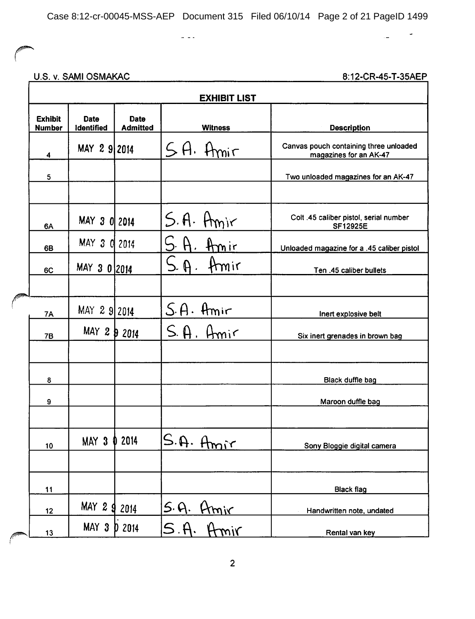$\frac{1}{2}$  =  $\frac{1}{2}$ 

### U.S. v. SAMI OSMAKAC

8:12-CR-45-T-35AEP

 $\overline{a}$ 

 $\overline{\phantom{a}}$ 

| <b>Exhibit</b><br><b>Number</b> | <b>Date</b><br>Identified | <b>Date</b><br><b>Admitted</b> | <b>Witness</b>                | <b>Description</b>                                               |
|---------------------------------|---------------------------|--------------------------------|-------------------------------|------------------------------------------------------------------|
| 4                               | MAY 2 9 2014              |                                | $5H.$ Amir                    | Canvas pouch containing three unloaded<br>magazines for an AK-47 |
| 5                               |                           |                                |                               | Two unloaded magazines for an AK-47                              |
| 6A                              | MAY 3 0 2014              |                                | S.A. Amir                     | Colt .45 caliber pistol, serial number<br><b>SF12925E</b>        |
| 6B                              | MAY 3 0 2014              |                                | Amir                          | Unloaded magazine for a .45 caliber pistol                       |
| 6C                              | MAY 3 0 2014              |                                | $S.$ A.<br>Hmir               | Ten .45 caliber bullets                                          |
| <b>7A</b>                       | MAY 2 9 2014              |                                | $S.A.$ Amir                   | Inert explosive belt                                             |
| 7B                              | $MAY$ 2 $\frac{1}{2}$     | 2014                           | $S.$ A. Amir                  | Six inert grenades in brown bag                                  |
| 8                               |                           |                                |                               | Black duffle bag                                                 |
| 9                               |                           |                                |                               | Maroon duffle bag                                                |
| 10                              | MAY 3 0 2014              |                                | S.A. A <sub>min</sub>         | Sony Bloggie digital camera                                      |
| 11                              |                           |                                |                               | <b>Black flag</b>                                                |
| 12                              | MAY 2 g                   | 2014                           |                               | Handwritten note, undated                                        |
| 13                              | MAY 3                     | <b>D</b> 2014                  | <u>S.A. Amir</u><br>S.A. Amir | Rental van key                                                   |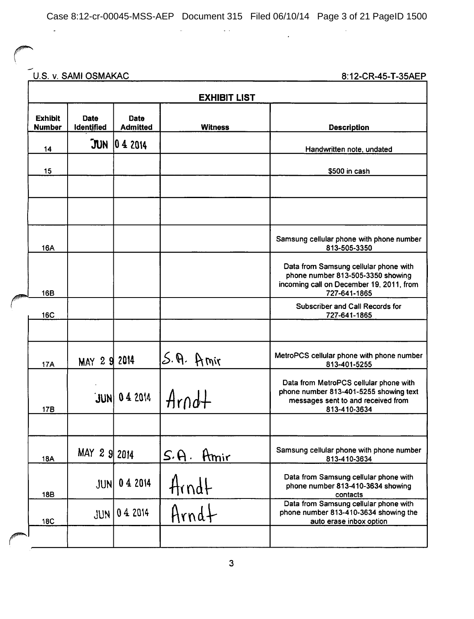Case 8:12-cr-00045-MSS-AEP Document 315 Filed 06/10/14 Page 3 of 21 PageID 1500

 $\cdot$ 

 $\omega$  .

U.S. v. SAMI OSMAKAC 8:12-CR-45-T-35AEP

 $\ddot{\phantom{a}}$ 

| <b>EXHIBIT LIST</b>             |                           |                         |                    |                                                                                                                                        |  |  |  |
|---------------------------------|---------------------------|-------------------------|--------------------|----------------------------------------------------------------------------------------------------------------------------------------|--|--|--|
| <b>Exhibit</b><br><b>Number</b> | <b>Date</b><br>Identified | <b>Date</b><br>Admitted | <b>Witness</b>     | <b>Description</b>                                                                                                                     |  |  |  |
| 14                              | JUN                       | 042014                  |                    | Handwritten note, undated                                                                                                              |  |  |  |
| 15                              |                           |                         |                    | \$500 in cash                                                                                                                          |  |  |  |
|                                 |                           |                         |                    |                                                                                                                                        |  |  |  |
|                                 |                           |                         |                    |                                                                                                                                        |  |  |  |
| <b>16A</b>                      |                           |                         |                    | Samsung cellular phone with phone number<br>813-505-3350                                                                               |  |  |  |
| 16B                             |                           |                         |                    | Data from Samsung cellular phone with<br>phone number 813-505-3350 showing<br>incoming call on December 19, 2011, from<br>727-641-1865 |  |  |  |
| <b>16C</b>                      |                           |                         |                    | Subscriber and Call Records for<br>727-641-1865                                                                                        |  |  |  |
|                                 |                           |                         |                    |                                                                                                                                        |  |  |  |
| <b>17A</b>                      | MAY 2 9 2014              |                         | $S.\,\Theta.$ Amir | MetroPCS cellular phone with phone number<br>813-401-5255                                                                              |  |  |  |
| <b>17B</b>                      |                           | $JUN$ 0 4 2014          | $Arnd+$            | Data from MetroPCS cellular phone with<br>phone number 813-401-5255 showing text<br>messages sent to and received from<br>813-410-3634 |  |  |  |
|                                 |                           |                         |                    |                                                                                                                                        |  |  |  |
| <b>18A</b>                      | MAY 2 9 2014              |                         | $S.A.$ Amir        | Samsung cellular phone with phone number<br>813-410-3634                                                                               |  |  |  |
| <b>18B</b>                      | <b>JUN</b>                | 04 2014                 | Arndt<br>Arndt     | Data from Samsung cellular phone with<br>phone number 813-410-3634 showing<br>contacts                                                 |  |  |  |
| <b>18C</b>                      | <b>JUN</b>                | 04 2014                 |                    | Data from Samsung cellular phone with<br>phone number 813-410-3634 showing the<br>auto erase inbox option                              |  |  |  |
|                                 |                           |                         |                    |                                                                                                                                        |  |  |  |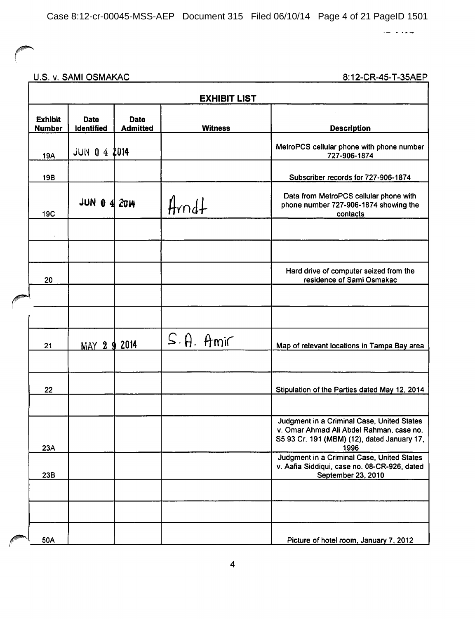$\leftarrow$  ...

### U.S. v. SAMI OSMAKAC

| <b>EXHIBIT LIST</b>             |                     |                         |                  |                                                                                                                                               |  |  |  |
|---------------------------------|---------------------|-------------------------|------------------|-----------------------------------------------------------------------------------------------------------------------------------------------|--|--|--|
| <b>Exhibit</b><br><b>Number</b> | Date<br>Identified  | Date<br><b>Admitted</b> | <b>Witness</b>   | <b>Description</b>                                                                                                                            |  |  |  |
| 19A                             | <b>JUN 0 4 2014</b> |                         |                  | MetroPCS cellular phone with phone number<br>727-906-1874                                                                                     |  |  |  |
| <b>19B</b>                      |                     |                         |                  | Subscriber records for 727-906-1874                                                                                                           |  |  |  |
| <b>19C</b>                      | JUN $0$ 4 $2014$    |                         | $Hrad+$          | Data from MetroPCS cellular phone with<br>phone number 727-906-1874 showing the<br>contacts                                                   |  |  |  |
|                                 |                     |                         |                  |                                                                                                                                               |  |  |  |
| 20                              |                     |                         |                  | Hard drive of computer seized from the<br>residence of Sami Osmakac                                                                           |  |  |  |
|                                 |                     |                         |                  |                                                                                                                                               |  |  |  |
| 21                              | MAY 2 9 2014        |                         | $S.\theta.$ Amir | Map of relevant locations in Tampa Bay area                                                                                                   |  |  |  |
| 22                              |                     |                         |                  | Stipulation of the Parties dated May 12, 2014                                                                                                 |  |  |  |
| 23A                             |                     |                         |                  | Judgment in a Criminal Case, United States<br>v. Omar Ahmad Ali Abdel Rahman, case no.<br>S5 93 Cr. 191 (MBM) (12), dated January 17,<br>1996 |  |  |  |
| 23B                             |                     |                         |                  | Judgment in a Criminal Case, United States<br>v. Aafia Siddiqui, case no. 08-CR-926, dated<br>September 23, 2010                              |  |  |  |
|                                 |                     |                         |                  |                                                                                                                                               |  |  |  |
| 50A                             |                     |                         |                  | Picture of hotel room, January 7, 2012                                                                                                        |  |  |  |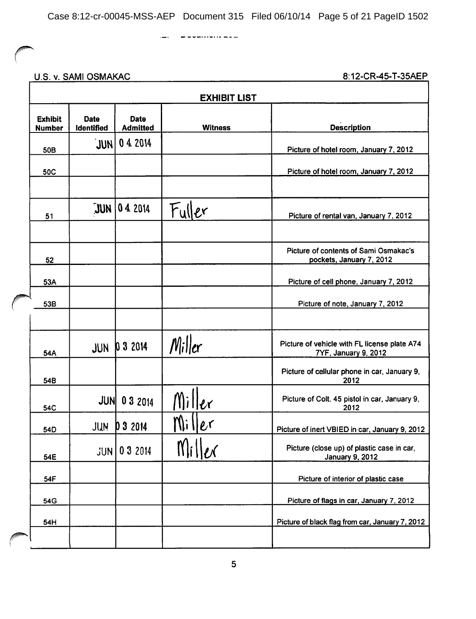<u> 1980 - Jan Barat, amerikan personal (</u>

. . . . . . . . . . . . .

U.S. v. SAMI OSMAKAC

|                                 | <b>EXHIBIT LIST</b> |                         |                |                                                                      |  |  |  |
|---------------------------------|---------------------|-------------------------|----------------|----------------------------------------------------------------------|--|--|--|
| <b>Exhibit</b><br><b>Number</b> | Date<br>Identified  | Date<br><b>Admitted</b> | <b>Witness</b> | <b>Description</b>                                                   |  |  |  |
| <b>50B</b>                      | JUNI                | 04 2014                 |                | Picture of hotel room, January 7, 2012                               |  |  |  |
| <b>50C</b>                      |                     |                         |                | Picture of hotel room, January 7, 2012                               |  |  |  |
| 51                              |                     | $JUN$ 0 4 2014          | Fuller         | Picture of rental van, January 7, 2012                               |  |  |  |
| 52                              |                     |                         |                | Picture of contents of Sami Osmakac's<br>pockets, January 7, 2012    |  |  |  |
| 53A                             |                     |                         |                | Picture of cell phone, January 7, 2012                               |  |  |  |
| 53B                             |                     |                         |                | Picture of note, January 7, 2012                                     |  |  |  |
| 54A                             | JUN                 | 032014                  | $M_i$ iller    | Picture of vehicle with FL license plate A74<br>7YF, January 9, 2012 |  |  |  |
| 54B                             |                     |                         |                | Picture of cellular phone in car, January 9,<br>2012                 |  |  |  |
| 54C                             |                     | <b>JUN 03 2014</b>      | Miller         | Picture of Colt. 45 pistol in car, January 9,<br>2012                |  |  |  |
| 54D                             | JUN                 | 0 3 2014                | Miller         | Picture of inert VBIED in car, January 9, 2012                       |  |  |  |
| 54E                             | <b>JUN</b>          | 03 2014                 | $N$  i $  ex$  | Picture (close up) of plastic case in car,<br><b>January 9, 2012</b> |  |  |  |
| 54F                             |                     |                         |                | Picture of interior of plastic case                                  |  |  |  |
| 54G                             |                     |                         |                | Picture of flags in car, January 7, 2012                             |  |  |  |
| 54H                             |                     |                         |                | Picture of black flag from car, January 7, 2012                      |  |  |  |
|                                 |                     |                         |                |                                                                      |  |  |  |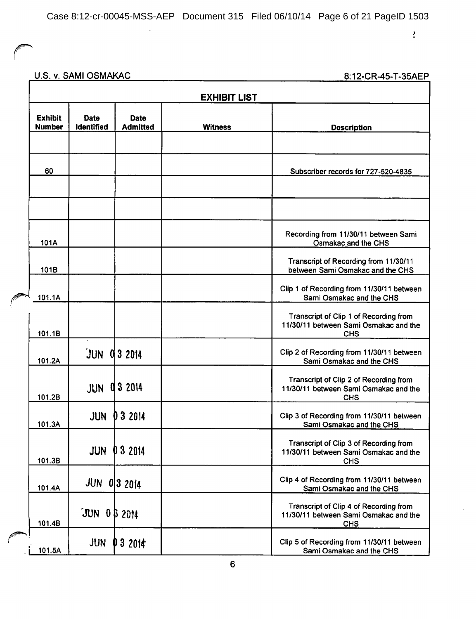<u> 1990 - John Barn Barn, mars et al. 1990 - Anna ann an t-</u>

 $\overline{2}$ 

## U.S. v. SAMI OSMAKAC

| <b>EXHIBIT LIST</b>             |                           |                                |                |                                                                                               |  |
|---------------------------------|---------------------------|--------------------------------|----------------|-----------------------------------------------------------------------------------------------|--|
| <b>Exhibit</b><br><b>Number</b> | <b>Date</b><br>Identified | <b>Date</b><br><b>Admitted</b> | <b>Witness</b> | <b>Description</b>                                                                            |  |
| 60                              |                           |                                |                | Subscriber records for 727-520-4835                                                           |  |
|                                 |                           |                                |                |                                                                                               |  |
| 101A                            |                           |                                |                | Recording from 11/30/11 between Sami<br>Osmakac and the CHS                                   |  |
| 101B                            |                           |                                |                | Transcript of Recording from 11/30/11<br>between Sami Osmakac and the CHS                     |  |
| 101.1A                          |                           |                                |                | Clip 1 of Recording from 11/30/11 between<br>Sami Osmakac and the CHS                         |  |
| 101.1B                          |                           |                                |                | Transcript of Clip 1 of Recording from<br>11/30/11 between Sami Osmakac and the<br><b>CHS</b> |  |
| 101.2A                          | $JUN$ $013$ 2014          |                                |                | Clip 2 of Recording from 11/30/11 between<br>Sami Osmakac and the CHS                         |  |
| 101.2B                          |                           | <b>JUN 0 3 2014</b>            |                | Transcript of Clip 2 of Recording from<br>11/30/11 between Sami Osmakac and the<br><b>CHS</b> |  |
| 101.3A                          | <b>JUN</b>                | 032014                         |                | Clip 3 of Recording from 11/30/11 between<br>Sami Osmakac and the CHS                         |  |
| 101.3B                          | <b>JUN</b>                | 03 2014                        |                | Transcript of Clip 3 of Recording from<br>11/30/11 between Sami Osmakac and the<br><b>CHS</b> |  |
| 101.4A                          | <b>JUN</b>                | 0 320 4                        |                | Clip 4 of Recording from 11/30/11 between<br>Sami Osmakac and the CHS                         |  |
| 101.4B                          | $JUN$ 0 $\beta$ 2014      |                                |                | Transcript of Clip 4 of Recording from<br>11/30/11 between Sami Osmakac and the<br><b>CHS</b> |  |
| 101.5A                          | <b>JUN</b>                | 32014                          |                | Clip 5 of Recording from 11/30/11 between<br>Sami Osmakac and the CHS                         |  |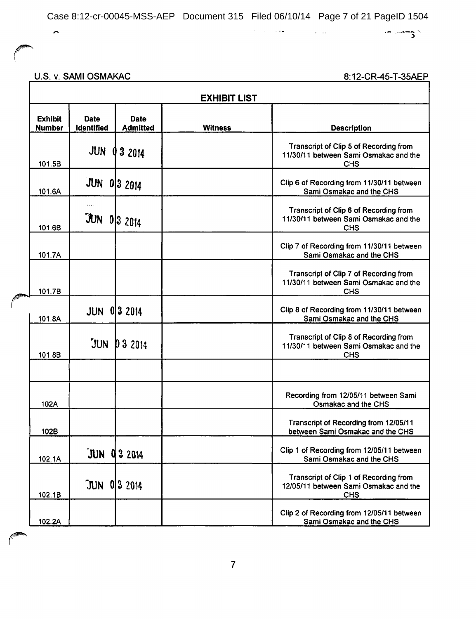$\alpha = 1, \ldots, 1, \ldots, n$ 

 $\sim 100$  km  $^{-1}$ 

U.S. v. SAMI OSMAKAC

 $\sim$ 

8:12-CR-45-T-35AEP

 $\sim -25$ 

|                                 | <b>EXHIBIT LIST</b>        |                                |                |                                                                                               |  |  |
|---------------------------------|----------------------------|--------------------------------|----------------|-----------------------------------------------------------------------------------------------|--|--|
| <b>Exhibit</b><br><b>Number</b> | <b>Date</b><br>Identified  | <b>Date</b><br><b>Admitted</b> | <b>Witness</b> | <b>Description</b>                                                                            |  |  |
| 101.5B                          | <b>JUN</b>                 | 032014                         |                | Transcript of Clip 5 of Recording from<br>11/30/11 between Sami Osmakac and the<br><b>CHS</b> |  |  |
| 101.6A                          | <b>JUN 0 3 2014</b>        |                                |                | Clip 6 of Recording from 11/30/11 between<br>Sami Osmakac and the CHS                         |  |  |
| 101.6B                          | $\cdots$<br>$JUN$ 0 3 2014 |                                |                | Transcript of Clip 6 of Recording from<br>11/30/11 between Sami Osmakac and the<br><b>CHS</b> |  |  |
| 101.7A                          |                            |                                |                | Clip 7 of Recording from 11/30/11 between<br>Sami Osmakac and the CHS                         |  |  |
| 101.7B                          |                            |                                |                | Transcript of Clip 7 of Recording from<br>11/30/11 between Sami Osmakac and the<br><b>CHS</b> |  |  |
| 101.8A                          | <b>JUN 0 3 2014</b>        |                                |                | Clip 8 of Recording from 11/30/11 between<br>Sami Osmakac and the CHS                         |  |  |
| 101.8B                          | JUN                        | <b>D 3 2014</b>                |                | Transcript of Clip 8 of Recording from<br>11/30/11 between Sami Osmakac and the<br><b>CHS</b> |  |  |
|                                 |                            |                                |                |                                                                                               |  |  |
| 102A                            |                            |                                |                | Recording from 12/05/11 between Sami<br>Osmakac and the CHS                                   |  |  |
| 102B                            |                            |                                |                | Transcript of Recording from 12/05/11<br>between Sami Osmakac and the CHS                     |  |  |
| 102.1A                          | JUN                        | <b>Q3 2014</b>                 |                | Clip 1 of Recording from 12/05/11 between<br>Sami Osmakac and the CHS                         |  |  |
| 102.1B                          | $JUN$ 0 3 2014             |                                |                | Transcript of Clip 1 of Recording from<br>12/05/11 between Sami Osmakac and the<br><b>CHS</b> |  |  |
| 102.2A                          |                            |                                |                | Clip 2 of Recording from 12/05/11 between<br>Sami Osmakac and the CHS                         |  |  |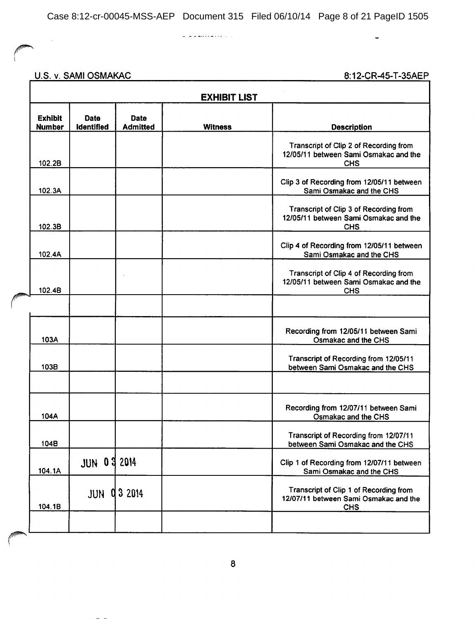$\begin{array}{cccccccccccccc} \textbf{L} & \textbf{L} & \textbf{L} & \textbf{L} & \textbf{L} & \textbf{L} & \textbf{L} & \textbf{L} & \textbf{L} & \textbf{L} & \textbf{L} & \textbf{L} & \textbf{L} & \textbf{L} & \textbf{L} & \textbf{L} & \textbf{L} & \textbf{L} & \textbf{L} & \textbf{L} & \textbf{L} & \textbf{L} & \textbf{L} & \textbf{L} & \textbf{L} & \textbf{L} & \textbf{L} & \textbf{L} & \textbf{L} & \textbf{L} &$ 

## U.S. v. SAMI OSMAKAC

 $\sim$ 

8:12-CR-45-T-35AEP

 $\downarrow$ 

| <b>EXHIBIT LIST</b>             |                           |                                |                |                                                                                               |  |
|---------------------------------|---------------------------|--------------------------------|----------------|-----------------------------------------------------------------------------------------------|--|
| <b>Exhibit</b><br><b>Number</b> | Date<br><b>Identified</b> | <b>Date</b><br><b>Admitted</b> | <b>Witness</b> | <b>Description</b>                                                                            |  |
| 102.2B                          |                           |                                |                | Transcript of Clip 2 of Recording from<br>12/05/11 between Sami Osmakac and the<br><b>CHS</b> |  |
| 102.3A                          |                           |                                |                | Clip 3 of Recording from 12/05/11 between<br>Sami Osmakac and the CHS                         |  |
| 102.3B                          |                           |                                |                | Transcript of Clip 3 of Recording from<br>12/05/11 between Sami Osmakac and the<br><b>CHS</b> |  |
| 102.4A                          |                           |                                |                | Clip 4 of Recording from 12/05/11 between<br>Sami Osmakac and the CHS                         |  |
| 102.4B                          |                           |                                |                | Transcript of Clip 4 of Recording from<br>12/05/11 between Sami Osmakac and the<br><b>CHS</b> |  |
|                                 |                           |                                |                |                                                                                               |  |
| 103A                            |                           |                                |                | Recording from 12/05/11 between Sami<br>Osmakac and the CHS                                   |  |
| 103B                            |                           |                                |                | Transcript of Recording from 12/05/11<br>between Sami Osmakac and the CHS                     |  |
|                                 |                           |                                |                |                                                                                               |  |
| 104A                            |                           |                                |                | Recording from 12/07/11 between Sami<br>Osmakac and the CHS                                   |  |
| 104B                            |                           |                                |                | Transcript of Recording from 12/07/11<br>between Sami Osmakac and the CHS                     |  |
| 104.1A                          | <b>JUN 0 3 2014</b>       |                                |                | Clip 1 of Recording from 12/07/11 between<br>Sami Osmakac and the CHS                         |  |
| 104.1B                          | JUN                       | Q32014                         |                | Transcript of Clip 1 of Recording from<br>12/07/11 between Sami Osmakac and the<br><b>CHS</b> |  |
|                                 |                           |                                |                |                                                                                               |  |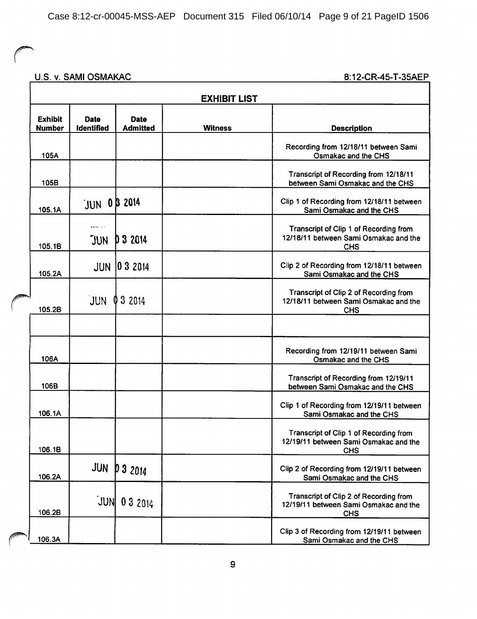### U.S. v. SAMI OSMAKAC 8:12-CR-45-T-35AEP

| <b>EXHIBIT LIST</b>             |                                  |                         |                |                                                                                               |  |  |
|---------------------------------|----------------------------------|-------------------------|----------------|-----------------------------------------------------------------------------------------------|--|--|
| <b>Exhibit</b><br><b>Number</b> | <b>Date</b><br><b>Identified</b> | Date<br><b>Admitted</b> | <b>Witness</b> | <b>Description</b>                                                                            |  |  |
| 105A                            |                                  |                         |                | Recording from 12/18/11 between Sami<br>Osmakac and the CHS                                   |  |  |
| 105B                            |                                  |                         |                | Transcript of Recording from 12/18/11<br>between Sami Osmakac and the CHS                     |  |  |
| 105.1A                          | JUN 0B 2014                      |                         |                | Clip 1 of Recording from 12/18/11 between<br>Sami Osmakac and the CHS                         |  |  |
| 105.1B                          | $\cdots$<br>JUN                  | D 3 2014                |                | Transcript of Clip 1 of Recording from<br>12/18/11 between Sami Osmakac and the<br><b>CHS</b> |  |  |
| 105.2A                          |                                  | <b>JUN 03 2014</b>      |                | Clip 2 of Recording from 12/18/11 between<br>Sami Osmakac and the CHS                         |  |  |
| 105.2B                          | JUN                              | 3 2014<br>O             |                | Transcript of Clip 2 of Recording from<br>12/18/11 between Sami Osmakac and the<br><b>CHS</b> |  |  |
|                                 |                                  |                         |                |                                                                                               |  |  |
| 106A                            |                                  |                         |                | Recording from 12/19/11 between Sami<br>Osmakac and the CHS                                   |  |  |
| 106B                            |                                  |                         |                | Transcript of Recording from 12/19/11<br>between Sami Osmakac and the CHS                     |  |  |
| 106.1A                          |                                  |                         |                | Clip 1 of Recording from 12/19/11 between<br>Sami Osmakac and the CHS                         |  |  |
| 106.1B                          |                                  |                         |                | Transcript of Clip 1 of Recording from<br>12/19/11 between Sami Osmakac and the<br><b>CHS</b> |  |  |
| 106.2A                          | JUN                              | 032014                  |                | Clip 2 of Recording from 12/19/11 between<br>Sami Osmakac and the CHS                         |  |  |
| 106.2B                          |                                  | $JUN$ 0 3 2014          |                | Transcript of Clip 2 of Recording from<br>12/19/11 between Sami Osmakac and the<br><b>CHS</b> |  |  |
| 106.3A                          |                                  |                         |                | Clip 3 of Recording from 12/19/11 between<br>Sami Osmakac and the CHS                         |  |  |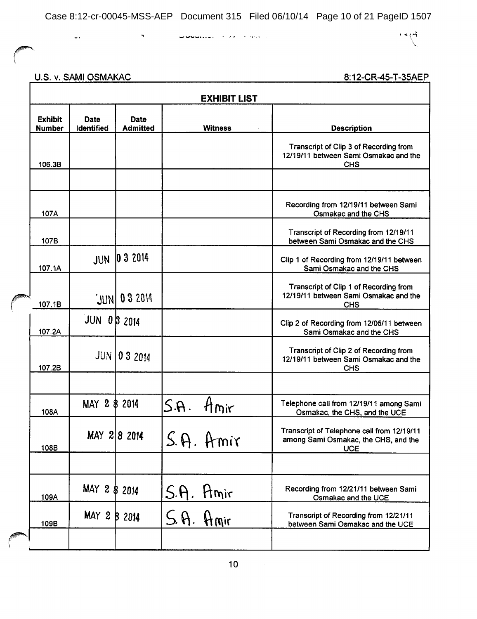**Communication** of the companion

 $\cdot \cdot \wedge$ 

U.S. v. SAMI OSMAKAC

 $\perp$  .

 $\overline{\phantom{a}}$ 

| <b>EXHIBIT LIST</b>             |                           |                         |                          |                                                                                                  |  |  |
|---------------------------------|---------------------------|-------------------------|--------------------------|--------------------------------------------------------------------------------------------------|--|--|
| <b>Exhibit</b><br><b>Number</b> | <b>Date</b><br>Identified | Date<br><b>Admitted</b> | <b>Witness</b>           | <b>Description</b>                                                                               |  |  |
| 106.3B                          |                           |                         |                          | Transcript of Clip 3 of Recording from<br>12/19/11 between Sami Osmakac and the<br><b>CHS</b>    |  |  |
|                                 |                           |                         |                          |                                                                                                  |  |  |
| 107A                            |                           |                         |                          | Recording from 12/19/11 between Sami<br>Osmakac and the CHS                                      |  |  |
| 107B                            |                           |                         |                          | Transcript of Recording from 12/19/11<br>between Sami Osmakac and the CHS                        |  |  |
| 107.1A                          | <b>JUN</b>                | 032014                  |                          | Clip 1 of Recording from 12/19/11 between<br>Sami Osmakac and the CHS                            |  |  |
| 107.1B                          |                           | JUN 03 2014             |                          | Transcript of Clip 1 of Recording from<br>12/19/11 between Sami Osmakac and the<br><b>CHS</b>    |  |  |
| 107.2A                          | <b>JUN 03 2014</b>        |                         |                          | Clip 2 of Recording from 12/05/11 between<br>Sami Osmakac and the CHS                            |  |  |
| 107.2B                          |                           | <b>JUN 03 2014</b>      |                          | Transcript of Clip 2 of Recording from<br>12/19/11 between Sami Osmakac and the<br><b>CHS</b>    |  |  |
|                                 |                           |                         |                          |                                                                                                  |  |  |
| 108A                            | MAY 2 \$ 2014             |                         | S.A.<br>Hmir             | Telephone call from 12/19/11 among Sami<br>Osmakac, the CHS, and the UCE                         |  |  |
| 108B                            |                           | MAY 2 8 2014            | $\cal C$<br>$S.$ A. Amir | Transcript of Telephone call from 12/19/11<br>among Sami Osmakac, the CHS, and the<br><b>UCE</b> |  |  |
|                                 |                           |                         |                          |                                                                                                  |  |  |
| 109A                            | MAY 2 \$ 2014             |                         | S.A. Amir                | Recording from 12/21/11 between Sami<br>Osmakac and the UCE                                      |  |  |
| 109B                            | MAY 2 B 2014              |                         | S.A. Amir                | Transcript of Recording from 12/21/11<br>between Sami Osmakac and the UCE                        |  |  |
|                                 |                           |                         |                          |                                                                                                  |  |  |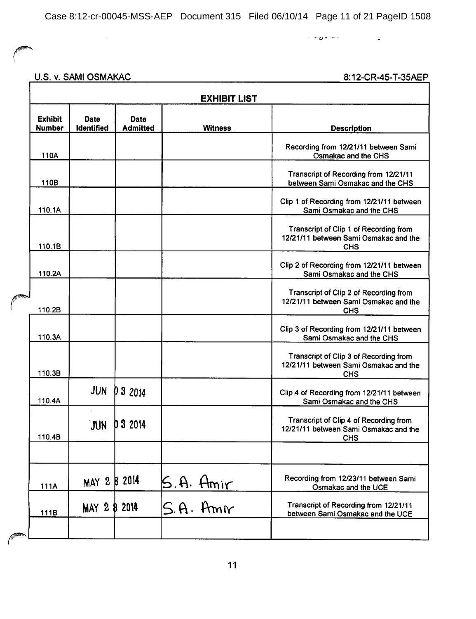أعاط الأوطات  $\mathcal{L}^{\text{max}}_{\text{max}}$ 

### U.S. v. SAMI OSMAKAC

 $\bar{\mathcal{A}}$ 

| <b>EXHIBIT LIST</b>             |                           |                                |                        |                                                                                               |  |  |  |
|---------------------------------|---------------------------|--------------------------------|------------------------|-----------------------------------------------------------------------------------------------|--|--|--|
| <b>Exhibit</b><br><b>Number</b> | <b>Date</b><br>Identified | <b>Date</b><br><b>Admitted</b> | <b>Witness</b>         | <b>Description</b>                                                                            |  |  |  |
| 110A                            |                           |                                |                        | Recording from 12/21/11 between Sami<br>Osmakac and the CHS                                   |  |  |  |
| 110B                            |                           |                                |                        | Transcript of Recording from 12/21/11<br>between Sami Osmakac and the CHS                     |  |  |  |
| 110.1A                          |                           |                                |                        | Clip 1 of Recording from 12/21/11 between<br>Sami Osmakac and the CHS                         |  |  |  |
| 110.1B                          |                           |                                |                        | Transcript of Clip 1 of Recording from<br>12/21/11 between Sami Osmakac and the<br><b>CHS</b> |  |  |  |
| 110.2A                          |                           |                                |                        | Clip 2 of Recording from 12/21/11 between<br>Sami Osmakac and the CHS                         |  |  |  |
| 110.2B                          |                           |                                |                        | Transcript of Clip 2 of Recording from<br>12/21/11 between Sami Osmakac and the<br><b>CHS</b> |  |  |  |
| 110.3A                          |                           |                                |                        | Clip 3 of Recording from 12/21/11 between<br>Sami Osmakac and the CHS                         |  |  |  |
| 110.3B                          |                           |                                |                        | Transcript of Clip 3 of Recording from<br>12/21/11 between Sami Osmakac and the<br><b>CHS</b> |  |  |  |
| 110.4A                          | <b>JUN</b>                | 03 2014                        |                        | Clip 4 of Recording from 12/21/11 between<br>Sami Osmakac and the CHS                         |  |  |  |
| 110.4B                          | JUN                       | 032014                         |                        | Transcript of Clip 4 of Recording from<br>12/21/11 between Sami Osmakac and the<br><b>CHS</b> |  |  |  |
|                                 |                           |                                |                        |                                                                                               |  |  |  |
| 111A                            | MAY 2 B 2014              |                                | S.A. Amir<br>S.A. Amir | Recording from 12/23/11 between Sami<br>Osmakac and the UCE                                   |  |  |  |
| 111B                            | MAY 2 8 2014              |                                |                        | Transcript of Recording from 12/21/11<br>between Sami Osmakac and the UCE                     |  |  |  |
|                                 |                           |                                |                        |                                                                                               |  |  |  |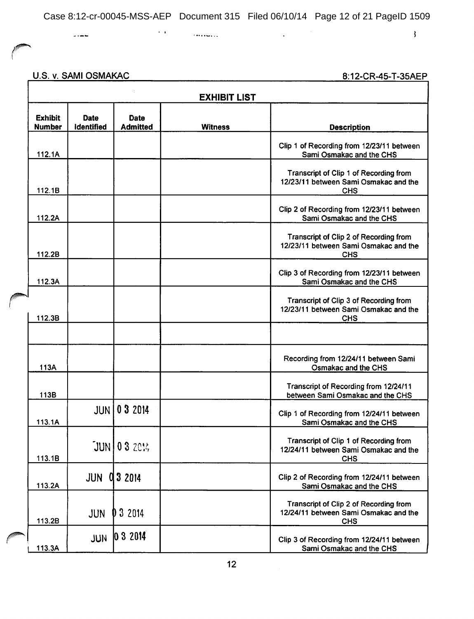$\bar{\mathcal{A}}$ 

 $\sim$   $\alpha$ 

 $\sim$  . The contract of the contract of the contract of the contract of the contract of the contract of the contract of the contract of the contract of the contract of the contract of the contract of the contract of the co

 $\mathbf{\mathbf{3}}$ 

U.S. v. SAMI OSMAKAC

 $\overline{a}$ 

| <b>EXHIBIT LIST</b>             |                                  |                                |                |                                                                                               |  |  |
|---------------------------------|----------------------------------|--------------------------------|----------------|-----------------------------------------------------------------------------------------------|--|--|
| <b>Exhibit</b><br><b>Number</b> | <b>Date</b><br><b>identified</b> | <b>Date</b><br><b>Admitted</b> | <b>Witness</b> | <b>Description</b>                                                                            |  |  |
| 112.1A                          |                                  |                                |                | Clip 1 of Recording from 12/23/11 between<br>Sami Osmakac and the CHS                         |  |  |
| 112.1B                          |                                  |                                |                | Transcript of Clip 1 of Recording from<br>12/23/11 between Sami Osmakac and the<br><b>CHS</b> |  |  |
| 112.2A                          |                                  |                                |                | Clip 2 of Recording from 12/23/11 between<br>Sami Osmakac and the CHS                         |  |  |
| 112.2B                          |                                  |                                |                | Transcript of Clip 2 of Recording from<br>12/23/11 between Sami Osmakac and the<br><b>CHS</b> |  |  |
| 112.3A                          |                                  |                                |                | Clip 3 of Recording from 12/23/11 between<br>Sami Osmakac and the CHS                         |  |  |
| 112.3B                          |                                  |                                |                | Transcript of Clip 3 of Recording from<br>12/23/11 between Sami Osmakac and the<br><b>CHS</b> |  |  |
|                                 |                                  |                                |                |                                                                                               |  |  |
| 113A                            |                                  |                                |                | Recording from 12/24/11 between Sami<br>Osmakac and the CHS                                   |  |  |
| 113B                            |                                  |                                |                | Transcript of Recording from 12/24/11<br>between Sami Osmakac and the CHS                     |  |  |
| 113.1A                          | JUN I                            | 0 3 2014                       |                | Clip 1 of Recording from 12/24/11 between<br>Sami Osmakac and the CHS                         |  |  |
| 113.1B                          |                                  | $JUN$ 0 3 2014                 |                | Transcript of Clip 1 of Recording from<br>12/24/11 between Sami Osmakac and the<br><b>CHS</b> |  |  |
| 113.2A                          | <b>JUN</b>                       | 03 2014                        |                | Clip 2 of Recording from 12/24/11 between<br>Sami Osmakac and the CHS                         |  |  |
| 113.2B                          | JUN                              | 3 2014                         |                | Transcript of Clip 2 of Recording from<br>12/24/11 between Sami Osmakac and the<br><b>CHS</b> |  |  |
| 113.3A                          | JUN                              | $ 032014\rangle$               |                | Clip 3 of Recording from 12/24/11 between<br>Sami Osmakac and the CHS                         |  |  |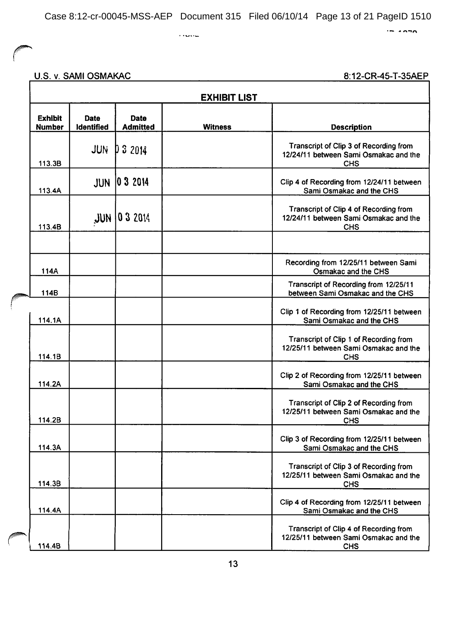$\ddotsc$ 

 $\sim$   $\sim$ 

# U.S. v. SAMI OSMAKAC

| <b>EXHIBIT LIST</b> |                                 |                           |                                |                |                                                                                               |
|---------------------|---------------------------------|---------------------------|--------------------------------|----------------|-----------------------------------------------------------------------------------------------|
|                     | <b>Exhibit</b><br><b>Number</b> | <b>Date</b><br>Identified | <b>Date</b><br><b>Admitted</b> | <b>Witness</b> | <b>Description</b>                                                                            |
|                     | 113.3B                          | <b>JUN</b>                | D32014                         |                | Transcript of Clip 3 of Recording from<br>12/24/11 between Sami Osmakac and the<br><b>CHS</b> |
|                     | 113.4A                          | <b>JUN</b>                | 032014                         |                | Clip 4 of Recording from 12/24/11 between<br>Sami Osmakac and the CHS                         |
|                     | 113.4B                          | HUL                       | 03 2014                        |                | Transcript of Clip 4 of Recording from<br>12/24/11 between Sami Osmakac and the<br><b>CHS</b> |
|                     |                                 |                           |                                |                |                                                                                               |
|                     | 114A                            |                           |                                |                | Recording from 12/25/11 between Sami<br>Osmakac and the CHS                                   |
|                     | 114B                            |                           |                                |                | Transcript of Recording from 12/25/11<br>between Sami Osmakac and the CHS                     |
|                     | 114.1A                          |                           |                                |                | Clip 1 of Recording from 12/25/11 between<br>Sami Osmakac and the CHS                         |
|                     | 114.1B                          |                           |                                |                | Transcript of Clip 1 of Recording from<br>12/25/11 between Sami Osmakac and the<br><b>CHS</b> |
|                     | 114.2A                          |                           |                                |                | Clip 2 of Recording from 12/25/11 between<br>Sami Osmakac and the CHS                         |
|                     | 114.2B                          |                           |                                |                | Transcript of Clip 2 of Recording from<br>12/25/11 between Sami Osmakac and the<br><b>CHS</b> |
|                     | 114.3A                          |                           |                                |                | Clip 3 of Recording from 12/25/11 between<br>Sami Osmakac and the CHS                         |
|                     | 114.3B                          |                           |                                |                | Transcript of Clip 3 of Recording from<br>12/25/11 between Sami Osmakac and the<br><b>CHS</b> |
|                     | 114.4A                          |                           |                                |                | Clip 4 of Recording from 12/25/11 between<br>Sami Osmakac and the CHS                         |
|                     | 114.4B                          |                           |                                |                | Transcript of Clip 4 of Recording from<br>12/25/11 between Sami Osmakac and the<br><b>CHS</b> |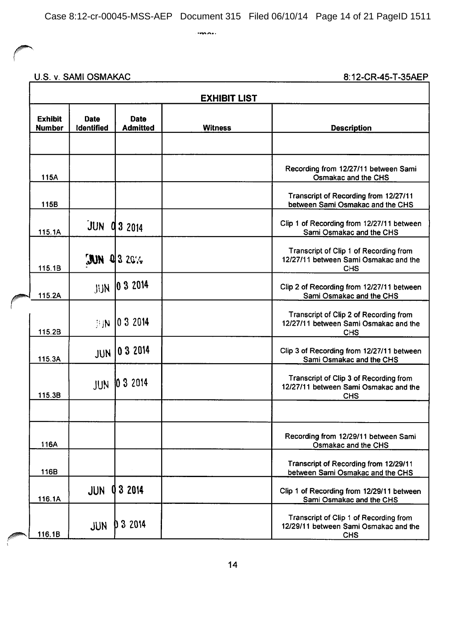$max<sub>1</sub>$ 

### U.S. v. SAMI OSMAKAC

| <b>EXHIBIT LIST</b>             |                           |                                |                |                                                                                               |  |
|---------------------------------|---------------------------|--------------------------------|----------------|-----------------------------------------------------------------------------------------------|--|
| <b>Exhibit</b><br><b>Number</b> | <b>Date</b><br>Identified | <b>Date</b><br><b>Admitted</b> | <b>Witness</b> | <b>Description</b>                                                                            |  |
|                                 |                           |                                |                |                                                                                               |  |
| 115A                            |                           |                                |                | Recording from 12/27/11 between Sami<br>Osmakac and the CHS                                   |  |
| 115B                            |                           |                                |                | Transcript of Recording from 12/27/11<br>between Sami Osmakac and the CHS                     |  |
| 115.1A                          | JUN                       | 03 2014                        |                | Clip 1 of Recording from 12/27/11 between<br>Sami Osmakac and the CHS                         |  |
| 115.1B                          | MU                        | $Q$   3 20%                    |                | Transcript of Clip 1 of Recording from<br>12/27/11 between Sami Osmakac and the<br>CHS        |  |
| 115.2A                          | JUN                       | 032014                         |                | Clip 2 of Recording from 12/27/11 between<br>Sami Osmakac and the CHS                         |  |
| 115.2B                          | 排队                        | 10 3 2014                      |                | Transcript of Clip 2 of Recording from<br>12/27/11 between Sami Osmakac and the<br><b>CHS</b> |  |
| 115.3A                          | <b>JUN</b>                | 032014                         |                | Clip 3 of Recording from 12/27/11 between<br>Sami Osmakac and the CHS                         |  |
| 115.3B                          | JUN                       | 10 3 2014                      |                | Transcript of Clip 3 of Recording from<br>12/27/11 between Sami Osmakac and the<br><b>CHS</b> |  |
|                                 |                           |                                |                |                                                                                               |  |
| 116A                            |                           |                                |                | Recording from 12/29/11 between Sami<br>Osmakac and the CHS                                   |  |
| 116B                            |                           |                                |                | Transcript of Recording from 12/29/11<br>between Sami Osmakac and the CHS                     |  |
| 116.1A                          | <b>JUN</b>                | 3 2014                         |                | Clip 1 of Recording from 12/29/11 between<br>Sami Osmakac and the CHS                         |  |
| 116.1B                          | <b>JUN</b>                | 0 3 2014                       |                | Transcript of Clip 1 of Recording from<br>12/29/11 between Sami Osmakac and the<br><b>CHS</b> |  |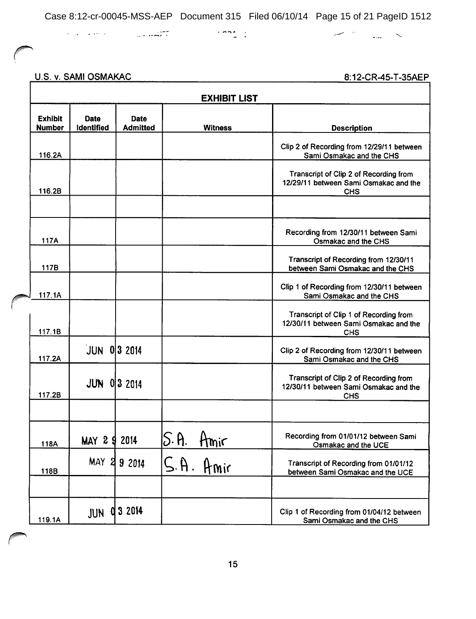$\label{eq:3.1} \mathcal{L}=\mathcal{L}^{\text{max}}\left(\mathcal{L}^{\text{max}}\right) \text{,} \qquad \qquad \mathcal{L}^{\text{max}}\left(\mathcal{L}^{\text{max}}\right) \text{,} \qquad \mathcal{L}^{\text{max}}\left(\mathcal{L}^{\text{max}}\right) \text{,}$ 

#### U.S. v. SAMI OSMAKAC

المستوفي والمستعمل والمستحقق والمستحدث

<u>8:12-CR-45-T-35AEP</u>

|                                 |                                  |                                | <b>EXHIBIT LIST</b> |                                                                                               |
|---------------------------------|----------------------------------|--------------------------------|---------------------|-----------------------------------------------------------------------------------------------|
| <b>Exhibit</b><br><b>Number</b> | <b>Date</b><br><b>Identified</b> | <b>Date</b><br><b>Admitted</b> | <b>Witness</b>      | <b>Description</b>                                                                            |
| 116.2A                          |                                  |                                |                     | Clip 2 of Recording from 12/29/11 between<br>Sami Osmakac and the CHS                         |
| 116.2B                          |                                  |                                |                     | Transcript of Clip 2 of Recording from<br>12/29/11 between Sami Osmakac and the<br><b>CHS</b> |
|                                 |                                  |                                |                     |                                                                                               |
| 117A                            |                                  |                                |                     | Recording from 12/30/11 between Sami<br>Osmakac and the CHS                                   |
| 117B                            |                                  |                                |                     | Transcript of Recording from 12/30/11<br>between Sami Osmakac and the CHS                     |
| 117.1A                          |                                  |                                |                     | Clip 1 of Recording from 12/30/11 between<br>Sami Osmakac and the CHS                         |
| 117.1B                          |                                  |                                |                     | Transcript of Clip 1 of Recording from<br>12/30/11 between Sami Osmakac and the<br>CHS        |
| 117.2A                          | $JUN$ 0 3 2014                   |                                |                     | Clip 2 of Recording from 12/30/11 between<br>Sami Osmakac and the CHS                         |
| 117.2B                          | <b>JUN 0 3 2014</b>              |                                |                     | Transcript of Clip 2 of Recording from<br>12/30/11 between Sami Osmakac and the<br><b>CHS</b> |
|                                 |                                  |                                |                     |                                                                                               |
| 118A                            | MAY 2 9 2014                     |                                | S.H.<br>Amir        | Recording from 01/01/12 between Sami<br>Osmakac and the UCE                                   |
| 118B                            | <b>MAY</b><br>୍ଷ                 | 9 2014                         | S.H.<br>Amir        | Transcript of Recording from 01/01/12<br>between Sami Osmakac and the UCE                     |
| 119.1A                          | a<br>JUN                         | 3 2014                         |                     | Clip 1 of Recording from 01/04/12 between<br>Sami Osmakac and the CHS                         |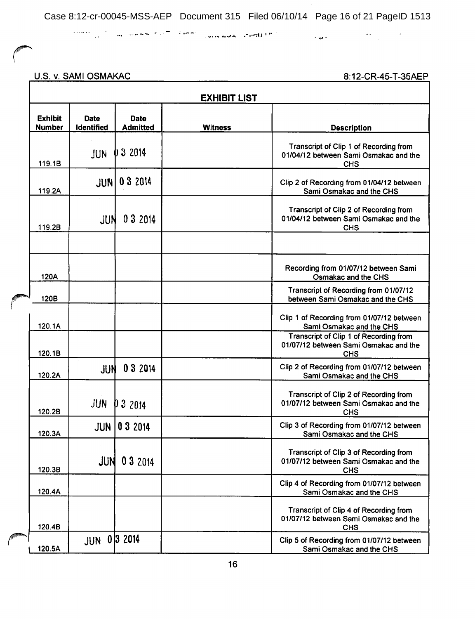$\mathcal{O}(\mathbb{R}^n)$  and the second contribution of the second spectrum  $\mathcal{O}(\mathbb{R}^n)$  and  $\mathcal{O}(\mathbb{R}^n)$  and  $\mathcal{O}(\mathbb{R}^n)$ 

U.S. v. SAMI OSMAKAC

|                                 |                           |                                | <b>EXHIBIT LIST</b> |                                                                                               |
|---------------------------------|---------------------------|--------------------------------|---------------------|-----------------------------------------------------------------------------------------------|
| <b>Exhibit</b><br><b>Number</b> | <b>Date</b><br>Identified | <b>Date</b><br><b>Admitted</b> | <b>Witness</b>      | <b>Description</b>                                                                            |
| 119.1B                          | JUN                       | 3 2014                         |                     | Transcript of Clip 1 of Recording from<br>01/04/12 between Sami Osmakac and the<br><b>CHS</b> |
| 119.2A                          | <b>JUN</b>                | 0 3 2 0 14                     |                     | Clip 2 of Recording from 01/04/12 between<br>Sami Osmakac and the CHS                         |
| 119.2B                          | JUN                       | 03 2014                        |                     | Transcript of Clip 2 of Recording from<br>01/04/12 between Sami Osmakac and the<br><b>CHS</b> |
|                                 |                           |                                |                     |                                                                                               |
| 120A                            |                           |                                |                     | Recording from 01/07/12 between Sami<br>Osmakac and the CHS                                   |
| 120B                            |                           |                                |                     | Transcript of Recording from 01/07/12<br>between Sami Osmakac and the CHS                     |
| 120.1A                          |                           |                                |                     | Clip 1 of Recording from 01/07/12 between<br>Sami Osmakac and the CHS                         |
| 120.1B                          |                           |                                |                     | Transcript of Clip 1 of Recording from<br>01/07/12 between Sami Osmakac and the<br><b>CHS</b> |
| 120.2A                          | JUN                       | 03 2014                        |                     | Clip 2 of Recording from 01/07/12 between<br>Sami Osmakac and the CHS                         |
| 120.2B                          | JUN                       | D32014                         |                     | Transcript of Clip 2 of Recording from<br>01/07/12 between Sami Osmakac and the<br><b>CHS</b> |
| 120.3A                          | JUN I                     | 0 3 2014                       |                     | Clip 3 of Recording from 01/07/12 between<br>Sami Osmakac and the CHS                         |
| 120.3B                          | JUN                       | 0 3 2 0 14                     |                     | Transcript of Clip 3 of Recording from<br>01/07/12 between Sami Osmakac and the<br><b>CHS</b> |
| 120.4A                          |                           |                                |                     | Clip 4 of Recording from 01/07/12 between<br>Sami Osmakac and the CHS                         |
| 120.4B                          |                           |                                |                     | Transcript of Clip 4 of Recording from<br>01/07/12 between Sami Osmakac and the<br><b>CHS</b> |
| 120.5A                          | <b>JUN</b>                | 0 3 2 0 14                     |                     | Clip 5 of Recording from 01/07/12 between<br>Sami Osmakac and the CHS                         |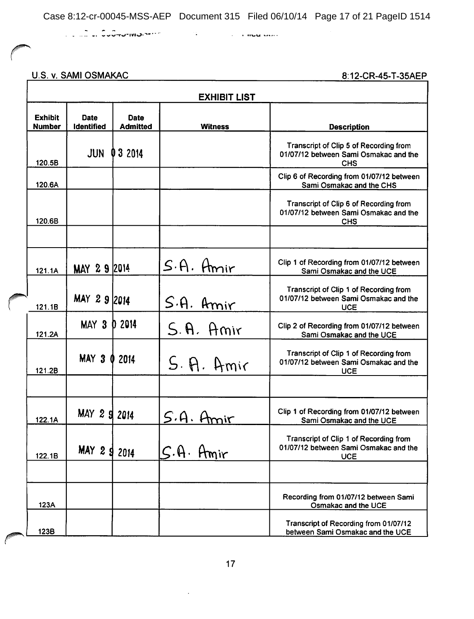U.S. v. SAMI OSMAKAC

8:12-CR-45-T-35AEP

|                                 | <b>EXHIBIT LIST</b>              |                                |                                   |                                                                                               |  |  |  |
|---------------------------------|----------------------------------|--------------------------------|-----------------------------------|-----------------------------------------------------------------------------------------------|--|--|--|
| <b>Exhibit</b><br><b>Number</b> | <b>Date</b><br><b>Identified</b> | <b>Date</b><br><b>Admitted</b> | <b>Witness</b>                    | <b>Description</b>                                                                            |  |  |  |
| 120.5B                          | <b>JUN</b>                       | 032014                         |                                   | Transcript of Clip 5 of Recording from<br>01/07/12 between Sami Osmakac and the<br><b>CHS</b> |  |  |  |
| 120.6A                          |                                  |                                |                                   | Clip 6 of Recording from 01/07/12 between<br>Sami Osmakac and the CHS                         |  |  |  |
| 120.6B                          |                                  |                                |                                   | Transcript of Clip 6 of Recording from<br>01/07/12 between Sami Osmakac and the<br><b>CHS</b> |  |  |  |
|                                 |                                  |                                |                                   |                                                                                               |  |  |  |
| 121.1A                          | MAY 29 2014                      |                                | $S.A.$ Amir                       | Clip 1 of Recording from 01/07/12 between<br>Sami Osmakac and the UCE                         |  |  |  |
| 121.1B                          | MAY 2 9 2014                     |                                | S.A. Amir                         | Transcript of Clip 1 of Recording from<br>01/07/12 between Sami Osmakac and the<br><b>UCE</b> |  |  |  |
| 121.2A                          | MAY <sub>3</sub>                 | D 2014                         | S.A. Amir                         | Clip 2 of Recording from 01/07/12 between<br>Sami Osmakac and the UCE                         |  |  |  |
| 121.2B                          | MAY 3 0 2014                     |                                | S. P. A <sub>m</sub>              | Transcript of Clip 1 of Recording from<br>01/07/12 between Sami Osmakac and the<br><b>UCE</b> |  |  |  |
|                                 |                                  |                                |                                   |                                                                                               |  |  |  |
| 122.1A                          | MAY 2 9 2014                     |                                | S.A.                              | Clip 1 of Recording from 01/07/12 between<br>Sami Osmakac and the UCE                         |  |  |  |
| 122.1B                          | MAY 2<br>9                       | 2014                           | $\mathcal{S}.\mathsf{A}.$<br>Hmir | Transcript of Clip 1 of Recording from<br>01/07/12 between Sami Osmakac and the<br><b>UCE</b> |  |  |  |
|                                 |                                  |                                |                                   |                                                                                               |  |  |  |
| 123A                            |                                  |                                |                                   | Recording from 01/07/12 between Sami<br>Osmakac and the UCE                                   |  |  |  |
| 123B                            |                                  |                                |                                   | Transcript of Recording from 01/07/12<br>between Sami Osmakac and the UCE                     |  |  |  |

 $\bar{z}$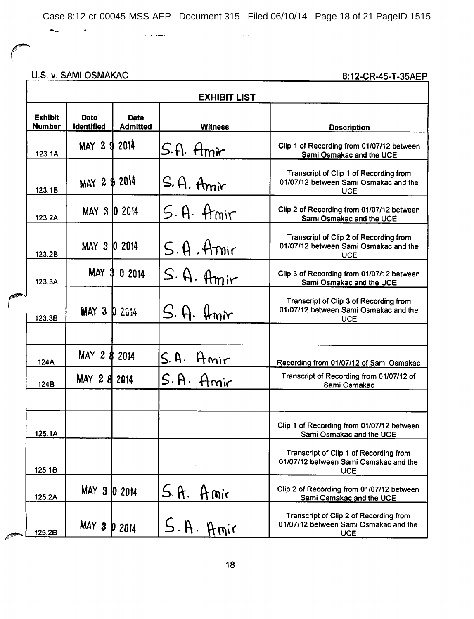$\sim$   $\sim$ 

U.S. v. SAMI OSMAKAC

 $\tilde{\mathcal{A}}$ 

 $\sim$   $\sim$   $\sim$   $\sim$ 

 $\overline{\phantom{a}}$ 

 $\Gamma$ 

| <b>EXHIBIT LIST</b>             |                                        |                                |                                     |                                                                                               |  |  |
|---------------------------------|----------------------------------------|--------------------------------|-------------------------------------|-----------------------------------------------------------------------------------------------|--|--|
| <b>Exhibit</b><br><b>Number</b> | Date <sup>®</sup><br><b>Identified</b> | <b>Date</b><br><b>Admitted</b> | <b>Witness</b>                      | <b>Description</b>                                                                            |  |  |
| 123.1A                          | MAY 2 9 2014                           |                                | S.A. Hmir                           | Clip 1 of Recording from 01/07/12 between<br>Sami Osmakac and the UCE                         |  |  |
| 123.1B                          | MAY 2 \$ 2014                          |                                | $S.A.$ Amir                         | Transcript of Clip 1 of Recording from<br>01/07/12 between Sami Osmakac and the<br><b>UCE</b> |  |  |
| 123.2A                          | MAY 3 0 2014                           |                                | S.A. Amir                           | Clip 2 of Recording from 01/07/12 between<br>Sami Osmakac and the UCE                         |  |  |
| 123.2B                          | MAY 3 0 2014                           |                                | $S.A$ . Amir                        | Transcript of Clip 2 of Recording from<br>01/07/12 between Sami Osmakac and the<br><b>UCE</b> |  |  |
| 123.3A                          |                                        | MAY 3 0 2014                   | $S.\nA.\nAmir$                      | Clip 3 of Recording from 01/07/12 between<br>Sami Osmakac and the UCE                         |  |  |
| 123.3B                          | MAT 3 D 2014                           |                                | $S.$ A. $\mathfrak{f}_{\text{mix}}$ | Transcript of Clip 3 of Recording from<br>01/07/12 between Sami Osmakac and the<br><b>UCE</b> |  |  |
|                                 |                                        |                                |                                     |                                                                                               |  |  |
| 124A                            | MAY 2 8 2014                           |                                | S. A.<br>Amir                       | Recording from 01/07/12 of Sami Osmakac                                                       |  |  |
| 124B                            | MAY 28 2014                            |                                | S.A. Amir                           | Transcript of Recording from 01/07/12 of<br>Sami Osmakac                                      |  |  |
|                                 |                                        |                                |                                     |                                                                                               |  |  |
| 125.1A                          |                                        |                                |                                     | Clip 1 of Recording from 01/07/12 between<br>Sami Osmakac and the UCE                         |  |  |
| 125.1B                          |                                        |                                |                                     | Transcript of Clip 1 of Recording from<br>01/07/12 between Sami Osmakac and the<br><b>UCE</b> |  |  |
| 125.2A                          | MAY 3 0 2014                           |                                | S.A. Amir                           | Clip 2 of Recording from 01/07/12 between<br>Sami Osmakac and the UCE                         |  |  |
| 125.2B                          | MAY 3                                  | <b>p</b> 2014                  | S.A. Amir                           | Transcript of Clip 2 of Recording from<br>01/07/12 between Sami Osmakac and the<br><b>UCE</b> |  |  |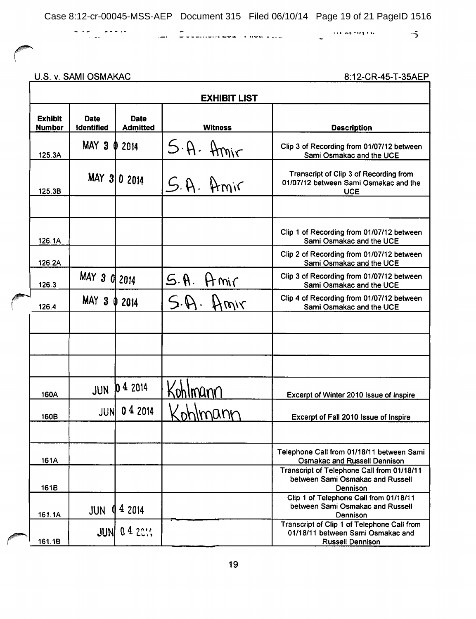and the community were a model of the second second the second second the second second second second second second second second second second second second second second second second second second second second second s

 $\cdots$  at  $m \cdots$   $\cdots$   $\cdots$  $\sim$ 

U.S. v. SAMI OSMAKAC

a ke ji waa ka

|                                 | <b>EXHIBIT LIST</b>       |                                |                |                                                                                                             |  |  |
|---------------------------------|---------------------------|--------------------------------|----------------|-------------------------------------------------------------------------------------------------------------|--|--|
| <b>Exhibit</b><br><b>Number</b> | Date<br><b>Identified</b> | <b>Date</b><br><b>Admitted</b> | <b>Witness</b> | <b>Description</b>                                                                                          |  |  |
| 125.3A                          | MAY 3 0 2014              |                                | $5-A.$ Amir    | Clip 3 of Recording from 01/07/12 between<br>Sami Osmakac and the UCE                                       |  |  |
| 125.3B                          |                           | MAY 3 0 2014                   | S.A. Amir      | Transcript of Clip 3 of Recording from<br>01/07/12 between Sami Osmakac and the<br><b>UCE</b>               |  |  |
|                                 |                           |                                |                |                                                                                                             |  |  |
| 126.1A                          |                           |                                |                | Clip 1 of Recording from 01/07/12 between<br>Sami Osmakac and the UCE                                       |  |  |
| 126.2A                          |                           |                                |                | Clip 2 of Recording from 01/07/12 between<br>Sami Osmakac and the UCE                                       |  |  |
| 126.3                           | MAY 3 0 2014              |                                | S. A.<br>Hmir  | Clip 3 of Recording from 01/07/12 between<br>Sami Osmakac and the UCE                                       |  |  |
| 126.4                           | MAY <sub>3</sub>          | 2014                           | S.M.<br>Hmir   | Clip 4 of Recording from 01/07/12 between<br>Sami Osmakac and the UCE                                       |  |  |
|                                 |                           |                                |                |                                                                                                             |  |  |
|                                 |                           |                                |                |                                                                                                             |  |  |
|                                 |                           |                                |                |                                                                                                             |  |  |
| 160A                            | <b>JUN</b>                | 1042014                        | Kohlmûnn       | Excerpt of Winter 2010 Issue of Inspire                                                                     |  |  |
| 160B                            | <b>JUN</b>                | 04 2014                        |                | Excerpt of Fall 2010 Issue of Inspire                                                                       |  |  |
| 161A                            |                           |                                |                | Telephone Call from 01/18/11 between Sami<br><b>Osmakac and Russell Dennison</b>                            |  |  |
| 161B                            |                           |                                |                | Transcript of Telephone Call from 01/18/11<br>between Sami Osmakac and Russell<br>Dennison                  |  |  |
| 161.1A                          | JUN                       | 4 2014                         |                | Clip 1 of Telephone Call from 01/18/11<br>between Sami Osmakac and Russell<br>Dennison                      |  |  |
| 161.1B                          | JUNI                      | 04 2011                        |                | Transcript of Clip 1 of Telephone Call from<br>01/18/11 between Sami Osmakac and<br><b>Russell Dennison</b> |  |  |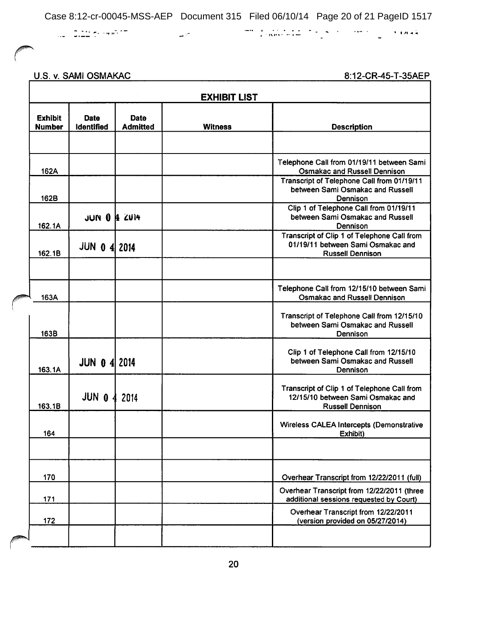$\omega$  in

U.S. v. SAMI OSMAKAC

Г

|                                 | <b>EXHIBIT LIST</b>       |                         |                |                                                                                                                                                                    |
|---------------------------------|---------------------------|-------------------------|----------------|--------------------------------------------------------------------------------------------------------------------------------------------------------------------|
| <b>Exhibit</b><br><b>Number</b> | Date<br><b>Identified</b> | Date<br><b>Admitted</b> | <b>Witness</b> | <b>Description</b>                                                                                                                                                 |
| 162A                            |                           |                         |                | Telephone Call from 01/19/11 between Sami<br><b>Osmakac and Russell Dennison</b><br>Transcript of Telephone Call from 01/19/11<br>between Sami Osmakac and Russell |
| 162B<br>162.1A                  | JUN 0 1 ZU14              |                         |                | Dennison<br>Clip 1 of Telephone Call from 01/19/11<br>between Sami Osmakac and Russell<br>Dennison                                                                 |
| 162.1B                          | <b>JUN 0 4 2014</b>       |                         |                | Transcript of Clip 1 of Telephone Call from<br>01/19/11 between Sami Osmakac and<br><b>Russell Dennison</b>                                                        |
| 163A                            |                           |                         |                | Telephone Call from 12/15/10 between Sami<br><b>Osmakac and Russell Dennison</b>                                                                                   |
| 163B                            |                           |                         |                | Transcript of Telephone Call from 12/15/10<br>between Sami Osmakac and Russell<br>Dennison                                                                         |
| 163.1A                          | <b>JUN 0 4 2014</b>       |                         |                | Clip 1 of Telephone Call from 12/15/10<br>between Sami Osmakac and Russell<br>Dennison                                                                             |
| 163.1B                          | <b>JUN 0 4 2014</b>       |                         |                | Transcript of Clip 1 of Telephone Call from<br>12/15/10 between Sami Osmakac and<br><b>Russell Dennison</b>                                                        |
| 164                             |                           |                         |                | <b>Wireless CALEA Intercepts (Demonstrative</b><br>Exhibit)                                                                                                        |
| 170                             |                           |                         |                | Overhear Transcript from 12/22/2011 (full)                                                                                                                         |
| 171                             |                           |                         |                | Overhear Transcript from 12/22/2011 (three<br>additional sessions requested by Court)                                                                              |
| 172                             |                           |                         |                | Overhear Transcript from 12/22/2011<br>(version provided on 05/27/2014)                                                                                            |